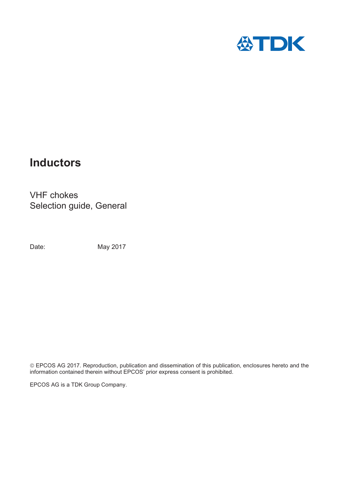

# **Inductors**

VHF chokes Selection guide, General

Date: May 2017

© EPCOS AG 2017. Reproduction, publication and dissemination of this publication, enclosures hereto and the information contained therein without EPCOS' prior express consent is prohibited.

EPCOS AG is a TDK Group Company.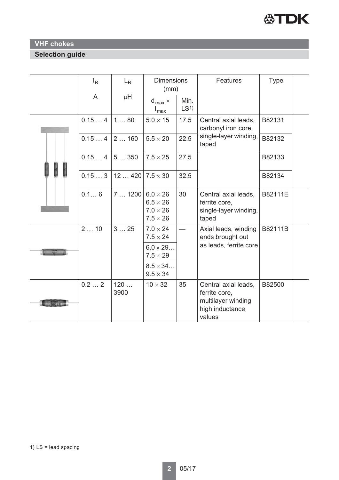

## **VHF chokes**

## **Selection guide**

|  | $I_R$ | $L_R$       | <b>Dimensions</b><br>(mm)                                                |                         | <b>Features</b>                                                                          | <b>Type</b> |  |
|--|-------|-------------|--------------------------------------------------------------------------|-------------------------|------------------------------------------------------------------------------------------|-------------|--|
|  | A     | μH          | $d_{max}$ $\times$<br>$I_{\text{max}}$                                   | Min.<br>LS <sup>1</sup> |                                                                                          |             |  |
|  | 0.154 | 180         | $5.0 \times 15$                                                          | 17.5                    | B82131<br>Central axial leads,<br>carbonyl iron core,                                    |             |  |
|  | 0.154 | 2160        | $5.5 \times 20$                                                          | 22.5                    | single-layer winding,<br>taped                                                           | B82132      |  |
|  | 0.154 | 5350        | $7.5 \times 25$                                                          | 27.5                    |                                                                                          | B82133      |  |
|  | 0.153 | 12420       | $7.5 \times 30$                                                          | 32.5                    |                                                                                          | B82134      |  |
|  | 0.16  | 71200       | $6.0 \times 26$<br>$6.5 \times 26$<br>$7.0 \times 26$<br>$7.5 \times 26$ | 30                      | Central axial leads,<br>ferrite core,<br>single-layer winding,<br>taped                  | B82111E     |  |
|  | 210   | 325         | $7.0 \times 24$<br>$7.5 \times 24$                                       |                         | Axial leads, winding<br>ends brought out                                                 | B82111B     |  |
|  |       |             | $6.0 \times 29$<br>$7.5 \times 29$                                       |                         | as leads, ferrite core                                                                   |             |  |
|  |       |             | $8.5 \times 34$<br>$9.5 \times 34$                                       |                         |                                                                                          |             |  |
|  | 0.22  | 120<br>3900 | $10 \times 32$                                                           | 35                      | Central axial leads,<br>ferrite core,<br>multilayer winding<br>high inductance<br>values | B82500      |  |